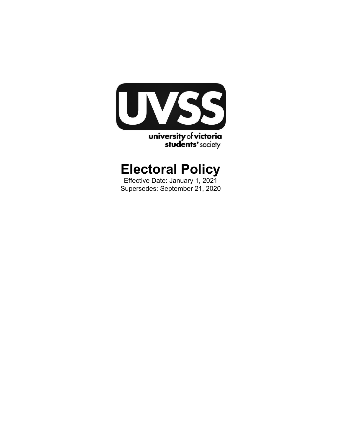

# **Electoral Policy**

Effective Date: January 1, 2021 Supersedes: September 21, 2020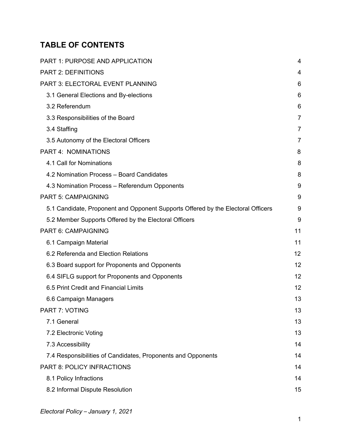# **TABLE OF CONTENTS**

| <b>PART 1: PURPOSE AND APPLICATION</b>                                           | 4              |
|----------------------------------------------------------------------------------|----------------|
| <b>PART 2: DEFINITIONS</b>                                                       | 4              |
| <b>PART 3: ELECTORAL EVENT PLANNING</b>                                          | 6              |
| 3.1 General Elections and By-elections                                           | 6              |
| 3.2 Referendum                                                                   | 6              |
| 3.3 Responsibilities of the Board                                                | $\overline{7}$ |
| 3.4 Staffing                                                                     | $\overline{7}$ |
| 3.5 Autonomy of the Electoral Officers                                           | 7              |
| <b>PART 4: NOMINATIONS</b>                                                       | 8              |
| 4.1 Call for Nominations                                                         | 8              |
| 4.2 Nomination Process - Board Candidates                                        | 8              |
| 4.3 Nomination Process - Referendum Opponents                                    | 9              |
| <b>PART 5: CAMPAIGNING</b>                                                       | 9              |
| 5.1 Candidate, Proponent and Opponent Supports Offered by the Electoral Officers | 9              |
| 5.2 Member Supports Offered by the Electoral Officers                            | 9              |
| PART 6: CAMPAIGNING                                                              | 11             |
| 6.1 Campaign Material                                                            | 11             |
| 6.2 Referenda and Election Relations                                             | 12             |
| 6.3 Board support for Proponents and Opponents                                   | 12             |
| 6.4 SIFLG support for Proponents and Opponents                                   | 12             |
| 6.5 Print Credit and Financial Limits                                            | 12             |
| 6.6 Campaign Managers                                                            | 13             |
| PART 7: VOTING                                                                   | 13             |
| 7.1 General                                                                      | 13             |
| 7.2 Electronic Voting                                                            | 13             |
| 7.3 Accessibility                                                                | 14             |
| 7.4 Responsibilities of Candidates, Proponents and Opponents                     | 14             |
| PART 8: POLICY INFRACTIONS                                                       | 14             |
| 8.1 Policy Infractions                                                           | 14             |
| 8.2 Informal Dispute Resolution                                                  | 15             |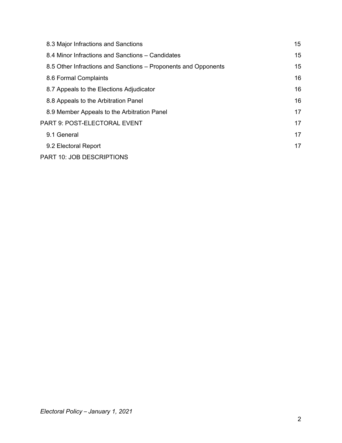| 8.3 Major Infractions and Sanctions                            | 15 |
|----------------------------------------------------------------|----|
| 8.4 Minor Infractions and Sanctions – Candidates               | 15 |
| 8.5 Other Infractions and Sanctions – Proponents and Opponents | 15 |
| 8.6 Formal Complaints                                          | 16 |
| 8.7 Appeals to the Elections Adjudicator                       | 16 |
| 8.8 Appeals to the Arbitration Panel                           | 16 |
| 8.9 Member Appeals to the Arbitration Panel                    | 17 |
| PART 9: POST-ELECTORAL EVENT                                   | 17 |
| 9.1 General                                                    | 17 |
| 9.2 Electoral Report                                           | 17 |
| PART 10: JOB DESCRIPTIONS                                      |    |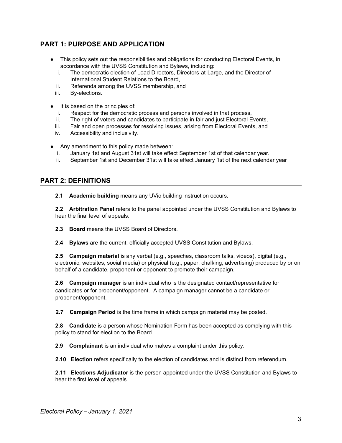# <span id="page-3-0"></span>**PART 1: PURPOSE AND APPLICATION**

- This policy sets out the responsibilities and obligations for conducting Electoral Events, in accordance with the UVSS Constitution and Bylaws, including:
	- i. The democratic election of Lead Directors, Directors-at-Large, and the Director of International Student Relations to the Board,
	- ii. Referenda among the UVSS membership, and
	- iii. By-elections.
- It is based on the principles of:
	- i. Respect for the democratic process and persons involved in that process,
	- ii. The right of voters and candidates to participate in fair and just Electoral Events,
	- iii. Fair and open processes for resolving issues, arising from Electoral Events, and
	- iv. Accessibility and inclusivity.
- Any amendment to this policy made between:
	- i. January 1st and August 31st will take effect September 1st of that calendar year.
	- ii. September 1st and December 31st will take effect January 1st of the next calendar year

# <span id="page-3-1"></span>**PART 2: DEFINITIONS**

**2.1 Academic building** means any UVic building instruction occurs.

**2.2 Arbitration Panel** refers to the panel appointed under the UVSS Constitution and Bylaws to hear the final level of appeals.

**2.3 Board** means the UVSS Board of Directors.

**2.4 Bylaws** are the current, officially accepted UVSS Constitution and Bylaws.

**2.5 Campaign material** is any verbal (e.g., speeches, classroom talks, videos), digital (e.g., electronic, websites, social media) or physical (e.g., paper, chalking, advertising) produced by or on behalf of a candidate, proponent or opponent to promote their campaign.

**2.6 Campaign manager** is an individual who is the designated contact/representative for candidates or for proponent/opponent. A campaign manager cannot be a candidate or proponent/opponent.

**2.7 Campaign Period** is the time frame in which campaign material may be posted.

**2.8 Candidate** is a person whose Nomination Form has been accepted as complying with this policy to stand for election to the Board.

**2.9 Complainant** is an individual who makes a complaint under this policy.

**2.10 Election** refers specifically to the election of candidates and is distinct from referendum.

**2.11 Elections Adjudicator** is the person appointed under the UVSS Constitution and Bylaws to hear the first level of appeals.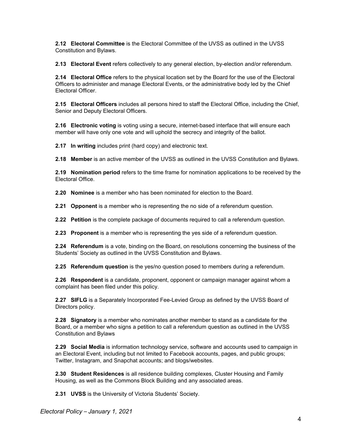**2.12 Electoral Committee** is the Electoral Committee of the UVSS as outlined in the UVSS Constitution and Bylaws.

**2.13 Electoral Event** refers collectively to any general election, by-election and/or referendum.

**2.14 Electoral Office** refers to the physical location set by the Board for the use of the Electoral Officers to administer and manage Electoral Events, or the administrative body led by the Chief Electoral Officer.

**2.15 Electoral Officers** includes all persons hired to staff the Electoral Office, including the Chief, Senior and Deputy Electoral Officers.

**2.16 Electronic voting** is voting using a secure, internet-based interface that will ensure each member will have only one vote and will uphold the secrecy and integrity of the ballot.

**2.17 In writing** includes print (hard copy) and electronic text.

**2.18 Member** is an active member of the UVSS as outlined in the UVSS Constitution and Bylaws.

**2.19 Nomination period** refers to the time frame for nomination applications to be received by the Electoral Office.

**2.20 Nominee** is a member who has been nominated for election to the Board.

**2.21 Opponent** is a member who is representing the no side of a referendum question.

**2.22 Petition** is the complete package of documents required to call a referendum question.

**2.23 Proponent** is a member who is representing the yes side of a referendum question.

**2.24 Referendum** is a vote, binding on the Board, on resolutions concerning the business of the Students' Society as outlined in the UVSS Constitution and Bylaws.

**2.25 Referendum question** is the yes/no question posed to members during a referendum.

**2.26 Respondent** is a candidate, proponent, opponent or campaign manager against whom a complaint has been filed under this policy.

**2.27 SIFLG** is a Separately Incorporated Fee-Levied Group as defined by the UVSS Board of Directors policy.

**2.28 Signatory** is a member who nominates another member to stand as a candidate for the Board, or a member who signs a petition to call a referendum question as outlined in the UVSS Constitution and Bylaws

**2.29 Social Media** is information technology service, software and accounts used to campaign in an Electoral Event, including but not limited to Facebook accounts, pages, and public groups; Twitter, Instagram, and Snapchat accounts; and blogs/websites.

**2.30 Student Residences** is all residence building complexes, Cluster Housing and Family Housing, as well as the Commons Block Building and any associated areas.

**2.31 UVSS** is the University of Victoria Students' Society.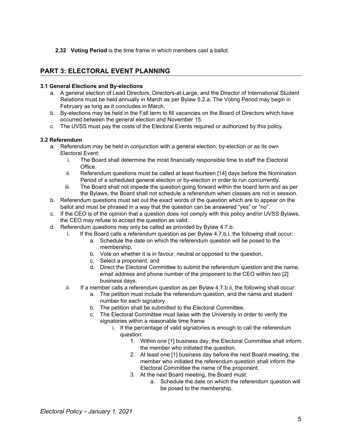#### **2.32 Voting Period** is the time frame in which members cast a ballot.

# <span id="page-5-0"></span>**PART 3: ELECTORAL EVENT PLANNING**

## <span id="page-5-1"></span>**3.1 General Elections and By-elections**

- a. A general election of Lead Directors, Directors-at-Large, and the Director of International Student Relations must be held annually in March as per Bylaw 5.2.a. The Voting Period may begin in February as long as it concludes in March.
- b. By-elections may be held in the Fall term to fill vacancies on the Board of Directors which have occurred between the general election and November 15.
- c. The UVSS must pay the costs of the Electoral Events required or authorized by this policy.

## <span id="page-5-2"></span>**3.2 Referendum**

- a. Referendum may be held in conjunction with a general election, by-election or as its own Electoral Event:
	- i. The Board shall determine the most financially responsible time to staff the Electoral Office.
	- ii. Referendum questions must be called at least fourteen [14] days before the Nomination Period of a scheduled general election or by-election in order to run concurrently.
	- iii. The Board shall not impede the question going forward within the board term and as per the Bylaws, the Board shall not schedule a referendum when classes are not in session.
- b. Referendum questions must set out the exact words of the question which are to appear on the ballot and must be phrased in a way that the question can be answered "yes" or "no".
- c. If the CEO is of the opinion that a question does not comply with this policy and/or UVSS Bylaws, the CEO may refuse to accept the question as valid.
- d. Referendum questions may only be called as provided by Bylaw 4.7.b:
	- i. If the Board calls a referendum question as per Bylaw 4.7.b.i, the following shall occur:
		- a. Schedule the date on which the referendum question will be posed to the membership,
		- b. Vote on whether it is in favour, neutral or opposed to the question,
		- c. Select a proponent, and
		- d. Direct the Electoral Committee to submit the referendum question and the name, email address and phone number of the proponent to the CEO within two [2] business days.
	- ii. If a member calls a referendum question as per Bylaw 4.7.b.ii, the following shall occur:
		- a. The petition must include the referendum question, and the name and student number for each signatory.
		- b. The petition shall be submitted to the Electoral Committee.
		- c. The Electoral Committee must liaise with the University in order to verify the signatories within a reasonable time frame
			- i. If the percentage of valid signatories is enough to call the referendum question:
				- 1. Within one [1] business day, the Electoral Committee shall inform the member who initiated the question.
				- 2. At least one [1] business day before the next Board meeting, the member who initiated the referendum question shall inform the Electoral Committee the name of the proponent.
				- 3. At the next Board meeting, the Board must:
					- a. Schedule the date on which the referendum question will be posed to the membership,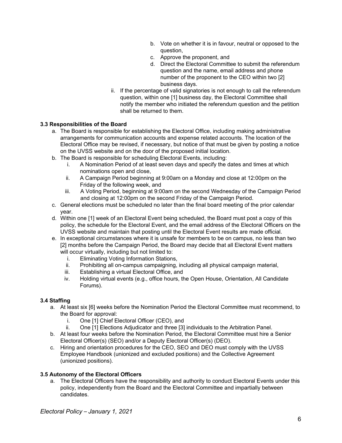- b. Vote on whether it is in favour, neutral or opposed to the question,
- c. Approve the proponent, and
- d. Direct the Electoral Committee to submit the referendum question and the name, email address and phone number of the proponent to the CEO within two [2] business days.
- ii. If the percentage of valid signatories is not enough to call the referendum question, within one [1] business day, the Electoral Committee shall notify the member who initiated the referendum question and the petition shall be returned to them.

## <span id="page-6-0"></span>**3.3 Responsibilities of the Board**

- a. The Board is responsible for establishing the Electoral Office, including making administrative arrangements for communication accounts and expense related accounts. The location of the Electoral Office may be revised, if necessary, but notice of that must be given by posting a notice on the UVSS website and on the door of the proposed initial location.
- b. The Board is responsible for scheduling Electoral Events, including:
	- i. A Nomination Period of at least seven days and specify the dates and times at which nominations open and close,
	- ii. A Campaign Period beginning at 9:00am on a Monday and close at 12:00pm on the Friday of the following week, and
	- iii. A Voting Period, beginning at 9:00am on the second Wednesday of the Campaign Period and closing at 12:00pm on the second Friday of the Campaign Period.
- c. General elections must be scheduled no later than the final board meeting of the prior calendar year.
- d. Within one [1] week of an Electoral Event being scheduled, the Board must post a copy of this policy, the schedule for the Electoral Event, and the email address of the Electoral Officers on the UVSS website and maintain that posting until the Electoral Event results are made official.
- e. In exceptional circumstances where it is unsafe for members to be on campus, no less than two [2] months before the Campaign Period, the Board may decide that all Electoral Event matters will occur virtually, including but not limited to:
	- i. Eliminating Voting Information Stations,
	- ii. Prohibiting all on-campus campaigning, including all physical campaign material,
	- iii. Establishing a virtual Electoral Office, and
	- iv. Holding virtual events (e.g., office hours, the Open House, Orientation, All Candidate Forums).

#### <span id="page-6-1"></span>**3.4 Staffing**

- a. At least six [6] weeks before the Nomination Period the Electoral Committee must recommend, to the Board for approval:
	- i. One [1] Chief Electoral Officer (CEO), and
	- ii. One [1] Elections Adjudicator and three [3] individuals to the Arbitration Panel.
- b. At least four weeks before the Nomination Period, the Electoral Committee must hire a Senior Electoral Officer(s) (SEO) and/or a Deputy Electoral Officer(s) (DEO).
- c. Hiring and orientation procedures for the CEO, SEO and DEO must comply with the UVSS Employee Handbook (unionized and excluded positions) and the Collective Agreement (unionized positions).

#### <span id="page-6-2"></span>**3.5 Autonomy of the Electoral Officers**

a. The Electoral Officers have the responsibility and authority to conduct Electoral Events under this policy, independently from the Board and the Electoral Committee and impartially between candidates.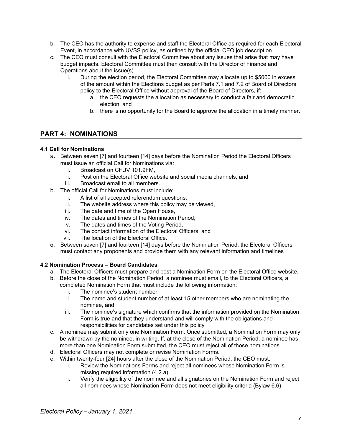- b. The CEO has the authority to expense and staff the Electoral Office as required for each Electoral Event, in accordance with UVSS policy, as outlined by the official CEO job description.
- c. The CEO must consult with the Electoral Committee about any issues that arise that may have budget impacts. Electoral Committee must then consult with the Director of Finance and Operations about the issue(s).
	- i. During the election period, the Electoral Committee may allocate up to \$5000 in excess of the amount within the Elections budget as per Parts 7.1 and 7.2 of Board of Directors policy to the Electoral Office without approval of the Board of Directors, if:
		- a. the CEO requests the allocation as necessary to conduct a fair and democratic election, and
		- b. there is no opportunity for the Board to approve the allocation in a timely manner.

# <span id="page-7-0"></span>**PART 4: NOMINATIONS**

# <span id="page-7-1"></span>**4.1 Call for Nominations**

- a. Between seven [7] and fourteen [14] days before the Nomination Period the Electoral Officers must issue an official Call for Nominations via:
	- i. Broadcast on CFUV 101.9FM,
	- ii. Post on the Electoral Office website and social media channels, and
	- iii. Broadcast email to all members.
- b. The official Call for Nominations must include:
	- i. A list of all accepted referendum questions,
	- ii. The website address where this policy may be viewed,
	- iii. The date and time of the Open House,
	- iv. The dates and times of the Nomination Period,
	- v. The dates and times of the Voting Period,
	- vi. The contact information of the Electoral Officers, and
	- vii. The location of the Electoral Office.
- **c.** Between seven [7] and fourteen [14] days before the Nomination Period, the Electoral Officers must contact any proponents and provide them with any relevant information and timelines

# <span id="page-7-2"></span>**4.2 Nomination Process – Board Candidates**

- a. The Electoral Officers must prepare and post a Nomination Form on the Electoral Office website.
- b. Before the close of the Nomination Period, a nominee must email, to the Electoral Officers, a completed Nomination Form that must include the following information:
	- i. The nominee's student number,
	- ii. The name and student number of at least 15 other members who are nominating the nominee, and
	- iii. The nominee's signature which confirms that the information provided on the Nomination Form is true and that they understand and will comply with the obligations and responsibilities for candidates set under this policy
- c. A nominee may submit only one Nomination Form. Once submitted, a Nomination Form may only be withdrawn by the nominee, in writing. If, at the close of the Nomination Period, a nominee has more than one Nomination Form submitted, the CEO must reject all of those nominations.
- d. Electoral Officers may not complete or revise Nomination Forms.
- e. Within twenty-four [24] hours after the close of the Nomination Period, the CEO must:
	- i. Review the Nominations Forms and reject all nominees whose Nomination Form is missing required information (4.2.a),
	- ii. Verify the eligibility of the nominee and all signatories on the Nomination Form and reject all nominees whose Nomination Form does not meet eligibility criteria (Bylaw 6.6).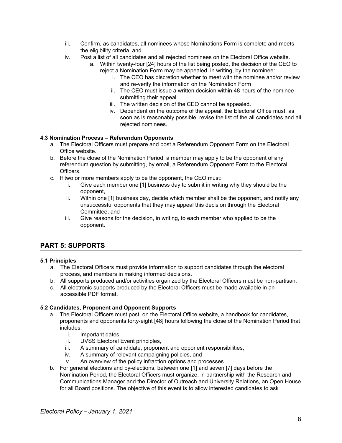- iii. Confirm, as candidates, all nominees whose Nominations Form is complete and meets the eligibility criteria, and
- iv. Post a list of all candidates and all rejected nominees on the Electoral Office website.
	- a. Within twenty-four [24] hours of the list being posted, the decision of the CEO to reject a Nomination Form may be appealed, in writing, by the nominee:
		- i. The CEO has discretion whether to meet with the nominee and/or review and re-verify the information on the Nomination Form
		- ii. The CEO must issue a written decision within 48 hours of the nominee submitting their appeal.
		- iii. The written decision of the CEO cannot be appealed.
		- iv. Dependent on the outcome of the appeal, the Electoral Office must, as soon as is reasonably possible, revise the list of the all candidates and all rejected nominees.

## <span id="page-8-0"></span>**4.3 Nomination Process – Referendum Opponents**

- a. The Electoral Officers must prepare and post a Referendum Opponent Form on the Electoral Office website.
- b. Before the close of the Nomination Period, a member may apply to be the opponent of any referendum question by submitting, by email, a Referendum Opponent Form to the Electoral Officers.
- c. If two or more members apply to be the opponent, the CEO must:
	- i. Give each member one [1] business day to submit in writing why they should be the opponent,
	- ii. Within one [1] business day, decide which member shall be the opponent, and notify any unsuccessful opponents that they may appeal this decision through the Electoral Committee, and
	- iii. Give reasons for the decision, in writing, to each member who applied to be the opponent.

# <span id="page-8-1"></span>**PART 5: SUPPORTS**

#### <span id="page-8-2"></span>**5.1 Principles**

- a. The Electoral Officers must provide information to support candidates through the electoral process, and members in making informed decisions.
- b. All supports produced and/or activities organized by the Electoral Officers must be non-partisan.
- c. All electronic supports produced by the Electoral Officers must be made available in an accessible PDF format.

# **5.2 Candidates, Proponent and Opponent Supports**

- a. The Electoral Officers must post, on the Electoral Office website, a handbook for candidates, proponents and opponents forty-eight [48] hours following the close of the Nomination Period that includes:
	- i. Important dates,
	- ii. UVSS Electoral Event principles,
	- iii. A summary of candidate, proponent and opponent responsibilities,
	- iv. A summary of relevant campaigning policies, and
	- v. An overview of the policy infraction options and processes.
- b. For general elections and by-elections, between one [1] and seven [7] days before the Nomination Period, the Electoral Officers must organize, in partnership with the Research and Communications Manager and the Director of Outreach and University Relations, an Open House for all Board positions. The objective of this event is to allow interested candidates to ask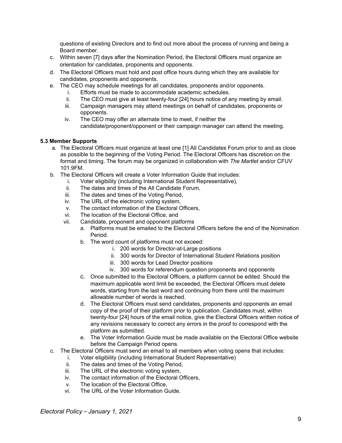questions of existing Directors and to find out more about the process of running and being a Board member.

- c. Within seven [7] days after the Nomination Period, the Electoral Officers must organize an orientation for candidates, proponents and opponents.
- d. The Electoral Officers must hold and post office hours during which they are available for candidates, proponents and opponents.
- e. The CEO may schedule meetings for all candidates, proponents and/or opponents.
	- i. Efforts must be made to accommodate academic schedules.
	- ii. The CEO must give at least twenty-four [24] hours notice of any meeting by email.
	- iii. Campaign managers may attend meetings on behalf of candidates, proponents or opponents.
	- iv. The CEO may offer an alternate time to meet, if neither the candidate/proponent/opponent or their campaign manager can attend the meeting.

#### <span id="page-9-0"></span>**5.3 Member Supports**

- a. The Electoral Officers must organize at least one [1] All Candidates Forum prior to and as close as possible to the beginning of the Voting Period. The Electoral Officers has discretion on the format and timing. The forum may be organized in collaboration with *The Martlet* and/or CFUV 101.9FM.
- b. The Electoral Officers will create a Voter Information Guide that includes:
	- i. Voter eligibility (including International Student Representative),
	- ii. The dates and times of the All Candidate Forum,
	- iii. The dates and times of the Voting Period,
	- iv. The URL of the electronic voting system,
	- v. The contact information of the Electoral Officers,
	- vi. The location of the Electoral Office, and
	- vii. Candidate, proponent and opponent platforms
		- a. Platforms must be emailed to the Electoral Officers before the end of the Nomination Period.
		- b. The word count of platforms must not exceed:
			- i. 200 words for Director-at-Large positions
			- ii. 300 words for Director of International Student Relations position
			- iii. 300 words for Lead Director positions
			- iv. 300 words for referendum question proponents and opponents
		- c. Once submitted to the Electoral Officers, a platform cannot be edited. Should the maximum applicable word limit be exceeded, the Electoral Officers must delete words, starting from the last word and continuing from there until the maximum allowable number of words is reached.
		- d. The Electoral Officers must send candidates, proponents and opponents an email copy of the proof of their platform prior to publication. Candidates must, within twenty-four [24] hours of the email notice, give the Electoral Officers written notice of any revisions necessary to correct any errors in the proof to correspond with the platform as submitted.
		- e. The Voter Information Guide must be made available on the Electoral Office website before the Campaign Period opens.
- c. The Electoral Officers must send an email to all members when voting opens that includes:
	- i. Voter eligibility (including International Student Representative)
		- ii. The dates and times of the Voting Period,
		- iii. The URL of the electronic voting system,
		- iv. The contact information of the Electoral Officers,
		- v. The location of the Electoral Office,
		- vi. The URL of the Voter Information Guide.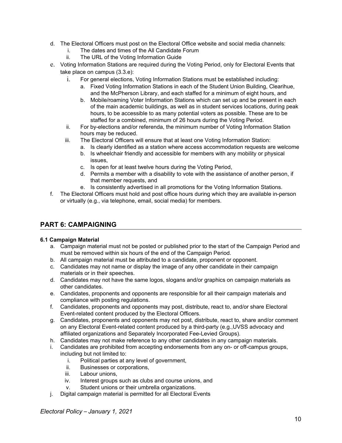- d. The Electoral Officers must post on the Electoral Office website and social media channels:
	- i. The dates and times of the All Candidate Forum
	- ii. The URL of the Voting Information Guide
- e. Voting Information Stations are required during the Voting Period, only for Electoral Events that take place on campus (3.3.e):
	- i. For general elections, Voting Information Stations must be established including:
		- a. Fixed Voting Information Stations in each of the Student Union Building, Clearihue, and the McPherson Library, and each staffed for a minimum of eight hours, and
		- b. Mobile/roaming Voter Information Stations which can set up and be present in each of the main academic buildings, as well as in student services locations, during peak hours, to be accessible to as many potential voters as possible. These are to be staffed for a combined, minimum of 26 hours during the Voting Period.
	- ii. For by-elections and/or referenda, the minimum number of Voting Information Station hours may be reduced.
	- iii. The Electoral Officers will ensure that at least one Voting Information Station:
		- a. Is clearly identified as a station where access accommodation requests are welcome
		- b. Is wheelchair friendly and accessible for members with any mobility or physical issues,
		- c. Is open for at least twelve hours during the Voting Period,
		- d. Permits a member with a disability to vote with the assistance of another person, if that member requests, and
		- e. Is consistently advertised in all promotions for the Voting Information Stations.
- f. The Electoral Officers must hold and post office hours during which they are available in-person or virtually (e.g., via telephone, email, social media) for members.

# <span id="page-10-0"></span>**PART 6: CAMPAIGNING**

#### <span id="page-10-1"></span>**6.1 Campaign Material**

- a. Campaign material must not be posted or published prior to the start of the Campaign Period and must be removed within six hours of the end of the Campaign Period.
- b. All campaign material must be attributed to a candidate, proponent or opponent.
- c. Candidates may not name or display the image of any other candidate in their campaign materials or in their speeches.
- d. Candidates may not have the same logos, slogans and/or graphics on campaign materials as other candidates.
- e. Candidates, proponents and opponents are responsible for all their campaign materials and compliance with posting regulations.
- f. Candidates, proponents and opponents may post, distribute, react to, and/or share Electoral Event-related content produced by the Electoral Officers.
- g. Candidates, proponents and opponents may not post, distribute, react to, share and/or comment on any Electoral Event-related content produced by a third-party (e.g.,UVSS advocacy and affiliated organizations and Separately Incorporated Fee-Levied Groups).
- h. Candidates may not make reference to any other candidates in any campaign materials.
- i. Candidates are prohibited from accepting endorsements from any on- or off-campus groups, including but not limited to:
	- i. Political parties at any level of government,
	- ii. Businesses or corporations,
	- iii. Labour unions,
	- iv. Interest groups such as clubs and course unions, and
	- v. Student unions or their umbrella organizations.
- j. Digital campaign material is permitted for all Electoral Events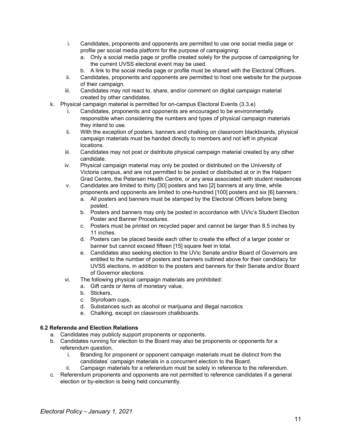- i. Candidates, proponents and opponents are permitted to use one social media page or profile per social media platform for the purpose of campaigning:
	- a. Only a social media page or profile created solely for the purpose of campaigning for the current UVSS electoral event may be used.
	- b. A link to the social media page or profile must be shared with the Electoral Officers.
- ii. Candidates, proponents and opponents are permitted to host one website for the purpose of their campaign.
- iii. Candidates may not react to, share, and/or comment on digital campaign material created by other candidates.
- k. Physical campaign material is permitted for on-campus Electoral Events (3.3.e)
	- i. Candidates, proponents and opponents are encouraged to be environmentally responsible when considering the numbers and types of physical campaign materials they intend to use.
	- ii. With the exception of posters, banners and chalking on classroom blackboards, physical campaign materials must be handed directly to members and not left in physical locations.
	- iii. Candidates may not post or distribute physical campaign material created by any other candidate.
	- iv. Physical campaign material may only be posted or distributed on the University of Victoria campus, and are not permitted to be posted or distributed at or in the Halpern Grad Centre, the Petersen Health Centre, or any area associated with student residences
	- v. Candidates are limited to thirty [30] posters and two [2] banners at any time, while proponents and opponents are limited to one-hundred [100] posters and six [6] banners.:
		- a. All posters and banners must be stamped by the Electoral Officers before being posted.
		- b. Posters and banners may only be posted in accordance with UVic's Student Election Poster and Banner Procedures.
		- c. Posters must be printed on recycled paper and cannot be larger than 8.5 inches by 11 inches.
		- d. Posters can be placed beside each other to create the effect of a larger poster or banner but cannot exceed fifteen [15] square feet in total.
		- e. Candidates also seeking election to the UVic Senate and/or Board of Governors are entitled to the number of posters and banners outlined above for their candidacy for UVSS elections, in addition to the posters and banners for their Senate and/or Board of Governor elections
	- vi. The following physical campaign materials are prohibited:
		- a. Gift cards or items of monetary value,
		- b. Stickers,
		- c. Styrofoam cups,
		- d. Substances such as alcohol or marijuana and illegal narcotics
		- e. Chalking, except on classroom chalkboards.

#### <span id="page-11-0"></span>**6.2 Referenda and Election Relations**

- a. Candidates may publicly support proponents or opponents.
- b. Candidates running for election to the Board may also be proponents or opponents for a referendum question.
	- i. Branding for proponent or opponent campaign materials must be distinct from the candidates' campaign materials in a concurrent election to the Board.
	- ii. Campaign materials for a referendum must be solely in reference to the referendum.
- c. Referendum proponents and opponents are not permitted to reference candidates if a general election or by-election is being held concurrently.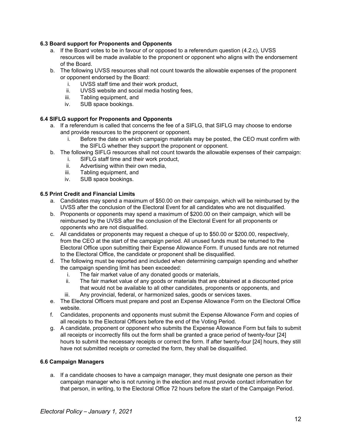## <span id="page-12-0"></span>**6.3 Board support for Proponents and Opponents**

- a. If the Board votes to be in favour of or opposed to a referendum question (4.2.c), UVSS resources will be made available to the proponent or opponent who aligns with the endorsement of the Board.
- b. The following UVSS resources shall not count towards the allowable expenses of the proponent or opponent endorsed by the Board:
	- i. UVSS staff time and their work product,
	- ii. UVSS website and social media hosting fees,
	- iii. Tabling equipment, and
	- iv. SUB space bookings.

## <span id="page-12-1"></span>**6.4 SIFLG support for Proponents and Opponents**

- a. If a referendum is called that concerns the fee of a SIFLG, that SIFLG may choose to endorse and provide resources to the proponent or opponent.
	- i. Before the date on which campaign materials may be posted, the CEO must confirm with the SIFLG whether they support the proponent or opponent.
- b. The following SIFLG resources shall not count towards the allowable expenses of their campaign:
	- i. SIFLG staff time and their work product,
	- ii. Advertising within their own media,
	- iii. Tabling equipment, and
	- iv. SUB space bookings.

#### <span id="page-12-2"></span>**6.5 Print Credit and Financial Limits**

- a. Candidates may spend a maximum of \$50.00 on their campaign, which will be reimbursed by the UVSS after the conclusion of the Electoral Event for all candidates who are not disqualified.
- b. Proponents or opponents may spend a maximum of \$200.00 on their campaign, which will be reimbursed by the UVSS after the conclusion of the Electoral Event for all proponents or opponents who are not disqualified.
- c. All candidates or proponents may request a cheque of up to \$50.00 or \$200.00, respectively, from the CEO at the start of the campaign period. All unused funds must be returned to the Electoral Office upon submitting their Expense Allowance Form. If unused funds are not returned to the Electoral Office, the candidate or proponent shall be disqualified.
- d. The following must be reported and included when determining campaign spending and whether the campaign spending limit has been exceeded:
	- i. The fair market value of any donated goods or materials,
	- ii. The fair market value of any goods or materials that are obtained at a discounted price that would not be available to all other candidates, proponents or opponents, and
	- iii. Any provincial, federal, or harmonized sales, goods or services taxes.
- e. The Electoral Officers must prepare and post an Expense Allowance Form on the Electoral Office website.
- f. Candidates, proponents and opponents must submit the Expense Allowance Form and copies of all receipts to the Electoral Officers before the end of the Voting Period.
- g. A candidate, proponent or opponent who submits the Expense Allowance Form but fails to submit all receipts or incorrectly fills out the form shall be granted a grace period of twenty-four [24] hours to submit the necessary receipts or correct the form. If after twenty-four [24] hours, they still have not submitted receipts or corrected the form, they shall be disqualified.

# <span id="page-12-3"></span>**6.6 Campaign Managers**

a. If a candidate chooses to have a campaign manager, they must designate one person as their campaign manager who is not running in the election and must provide contact information for that person, in writing, to the Electoral Office 72 hours before the start of the Campaign Period.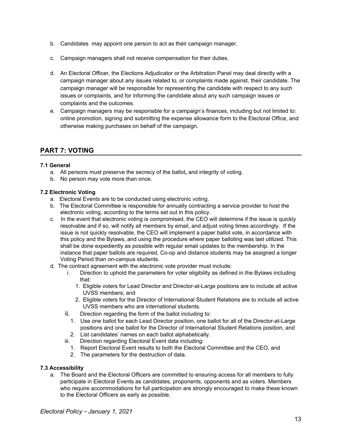- b. Candidates may appoint one person to act as their campaign manager.
- c. Campaign managers shall not receive compensation for their duties.
- d. An Electoral Officer, the Elections Adjudicator or the Arbitration Panel may deal directly with a campaign manager about any issues related to, or complaints made against, their candidate. The campaign manager will be responsible for representing the candidate with respect to any such issues or complaints, and for informing the candidate about any such campaign issues or complaints and the outcomes.
- e. Campaign managers may be responsible for a campaign's finances, including but not limited to: online promotion, signing and submitting the expense allowance form to the Electoral Office, and otherwise making purchases on behalf of the campaign.

# <span id="page-13-0"></span>**PART 7: VOTING**

## <span id="page-13-1"></span>**7.1 General**

- a. All persons must preserve the secrecy of the ballot**,** and integrity of voting.
- b. No person may vote more than once.

## <span id="page-13-2"></span>**7.2 Electronic Voting**

- a. Electoral Events are to be conducted using electronic voting.
- b. The Electoral Committee is responsible for annually contracting a service provider to host the electronic voting, according to the terms set out in this policy.
- c. In the event that electronic voting is compromised, the CEO will determine if the issue is quickly resolvable and if so, will notify all members by email, and adjust voting times accordingly. If the issue is not quickly resolvable, the CEO will implement a paper ballot vote, in accordance with this policy and the Bylaws, and using the procedure where paper balloting was last utilized. This shall be done expediently as possible with regular email updates to the membership. In the instance that paper ballots are required, Co-op and distance students may be assigned a longer Voting Period than on-campus students.
- d. The contract agreement with the electronic vote provider must include:
	- i. Direction to uphold the parameters for voter eligibility as defined in the Bylaws including that:
		- 1. Eligible voters for Lead Director and Director-at-Large positions are to include all active UVSS members; and
		- 2. Eligible voters for the Director of International Student Relations are to include all active UVSS members who are international students.
	- ii. Direction regarding the form of the ballot including to:
		- 1. Use one ballot for each Lead Director position, one ballot for all of the Director-at-Large positions and one ballot for the Director of International Student Relations position, and
	- 2. List candidates' names on each ballot alphabetically.
	- iii. Direction regarding Electoral Event data including:
		- 1. Report Electoral Event results to both the Electoral Committee and the CEO, and
		- 2. The parameters for the destruction of data.

#### <span id="page-13-3"></span>**7.3 Accessibility**

a. The Board and the Electoral Officers are committed to ensuring access for all members to fully participate in Electoral Events as candidates, proponents, opponents and as voters. Members who require accommodations for full participation are strongly encouraged to make these known to the Electoral Officers as early as possible.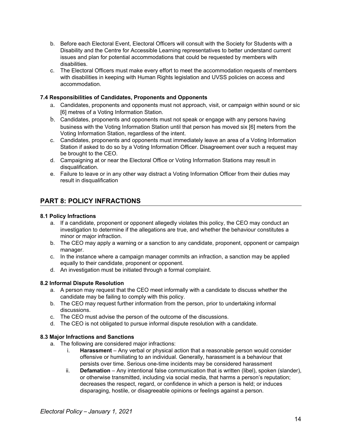- b. Before each Electoral Event, Electoral Officers will consult with the Society for Students with a Disability and the Centre for Accessible Learning representatives to better understand current issues and plan for potential accommodations that could be requested by members with disabilities.
- c. The Electoral Officers must make every effort to meet the accommodation requests of members with disabilities in keeping with Human Rights legislation and UVSS policies on access and accommodation.

## <span id="page-14-0"></span>**7.4 Responsibilities of Candidates, Proponents and Opponents**

- a. Candidates, proponents and opponents must not approach, visit, or campaign within sound or sic [6] metres of a Voting Information Station.
- b. Candidates, proponents and opponents must not speak or engage with any persons having business with the Voting Information Station until that person has moved six [6] meters from the Voting Information Station, regardless of the intent.
- c. Candidates, proponents and opponents must immediately leave an area of a Voting Information Station if asked to do so by a Voting Information Officer. Disagreement over such a request may be brought to the CEO.
- d. Campaigning at or near the Electoral Office or Voting Information Stations may result in disqualification.
- e. Failure to leave or in any other way distract a Voting Information Officer from their duties may result in disqualification

# <span id="page-14-1"></span>**PART 8: POLICY INFRACTIONS**

#### <span id="page-14-2"></span>**8.1 Policy Infractions**

- a. If a candidate, proponent or opponent allegedly violates this policy, the CEO may conduct an investigation to determine if the allegations are true, and whether the behaviour constitutes a minor or major infraction.
- b. The CEO may apply a warning or a sanction to any candidate, proponent, opponent or campaign manager.
- c. In the instance where a campaign manager commits an infraction, a sanction may be applied equally to their candidate, proponent or opponent.
- d. An investigation must be initiated through a formal complaint.

#### <span id="page-14-3"></span>**8.2 Informal Dispute Resolution**

- a. A person may request that the CEO meet informally with a candidate to discuss whether the candidate may be failing to comply with this policy.
- b. The CEO may request further information from the person, prior to undertaking informal discussions.
- c. The CEO must advise the person of the outcome of the discussions.
- d. The CEO is not obligated to pursue informal dispute resolution with a candidate.

#### <span id="page-14-4"></span>**8.3 Major Infractions and Sanctions**

- a. The following are considered major infractions:
	- i. **Harassment** Any verbal or physical action that a reasonable person would consider offensive or humiliating to an individual. Generally, harassment is a behaviour that persists over time. Serious one-time incidents may be considered harassment
	- ii. **Defamation** Any intentional false communication that is written (libel), spoken (slander), or otherwise transmitted, including via social media, that harms a person's reputation; decreases the respect, regard, or confidence in which a person is held; or induces disparaging, hostile, or disagreeable opinions or feelings against a person.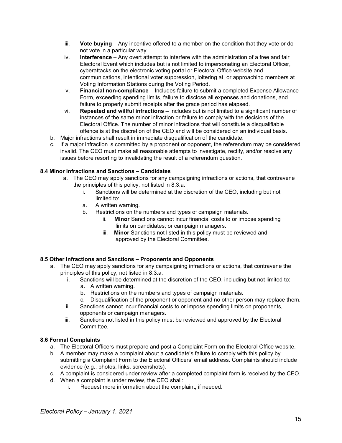- iii. **Vote buying** Any incentive offered to a member on the condition that they vote or do not vote in a particular way.
- iv. **Interference** Any overt attempt to interfere with the administration of a free and fair Electoral Event which includes but is not limited to impersonating an Electoral Officer, cyberattacks on the electronic voting portal or Electoral Office website and communications, intentional voter suppression, loitering at, or approaching members at Voting Information Stations during the Voting Period.
- v. **Financial non-compliance** Includes failure to submit a completed Expense Allowance Form, exceeding spending limits, failure to disclose all expenses and donations, and failure to properly submit receipts after the grace period has elapsed.
- vi. **Repeated and willful infractions** Includes but is not limited to a significant number of instances of the same minor infraction or failure to comply with the decisions of the Electoral Office. The number of minor infractions that will constitute a disqualifiable offence is at the discretion of the CEO and will be considered on an individual basis.
- b. Major infractions shall result in immediate disqualification of the candidate.
- c. If a major infraction is committed by a proponent or opponent, the referendum may be considered invalid. The CEO must make all reasonable attempts to investigate, rectify, and/or resolve any issues before resorting to invalidating the result of a referendum question.

## <span id="page-15-0"></span>**8.4 Minor Infractions and Sanctions – Candidates**

- a. The CEO may apply sanctions for any campaigning infractions or actions, that contravene the principles of this policy, not listed in 8.3.a.
	- i. Sanctions will be determined at the discretion of the CEO, including but not limited to:
	- a. A written warning.
	- b. Restrictions on the numbers and types of campaign materials.
		- ii. **Minor** Sanctions cannot incur financial costs to or impose spending limits on candidates-or campaign managers.
		- iii. **Minor** Sanctions not listed in this policy must be reviewed and approved by the Electoral Committee.

#### <span id="page-15-1"></span>**8.5 Other Infractions and Sanctions – Proponents and Opponents**

- a. The CEO may apply sanctions for any campaigning infractions or actions, that contravene the principles of this policy, not listed in 8.3.a.
	- i. Sanctions will be determined at the discretion of the CEO, including but not limited to:
		- a. A written warning.
		- b. Restrictions on the numbers and types of campaign materials.
		- c. Disqualification of the proponent or opponent and no other person may replace them.
	- ii. Sanctions cannot incur financial costs to or impose spending limits on proponents, opponents or campaign managers.
	- iii. Sanctions not listed in this policy must be reviewed and approved by the Electoral Committee.

#### <span id="page-15-2"></span>**8.6 Formal Complaints**

- a. The Electoral Officers must prepare and post a Complaint Form on the Electoral Office website.
- b. A member may make a complaint about a candidate's failure to comply with this policy by submitting a Complaint Form to the Electoral Officers' email address. Complaints should include evidence (e.g., photos, links, screenshots).
- c. A complaint is considered under review after a completed complaint form is received by the CEO.
- d. When a complaint is under review, the CEO shall:
	- i. Request more information about the complaint**,** if needed.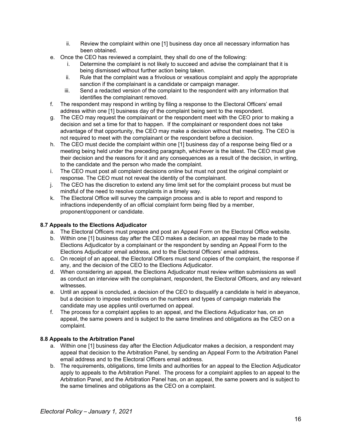- ii. Review the complaint within one [1] business day once all necessary information has been obtained.
- e. Once the CEO has reviewed a complaint, they shall do one of the following:
	- i. Determine the complaint is not likely to succeed and advise the complainant that it is being dismissed without further action being taken.
	- ii. Rule that the complaint was a frivolous or vexatious complaint and apply the appropriate sanction if the complainant is a candidate or campaign manager.
	- iii. Send a redacted version of the complaint to the respondent with any information that identifies the complainant removed.
- f. The respondent may respond in writing by filing a response to the Electoral Officers' email address within one [1] business day of the complaint being sent to the respondent.
- g. The CEO may request the complainant or the respondent meet with the CEO prior to making a decision and set a time for that to happen. If the complainant or respondent does not take advantage of that opportunity, the CEO may make a decision without that meeting. The CEO is not required to meet with the complainant or the respondent before a decision.
- h. The CEO must decide the complaint within one [1] business day of a response being filed or a meeting being held under the preceding paragraph, whichever is the latest. The CEO must give their decision and the reasons for it and any consequences as a result of the decision, in writing, to the candidate and the person who made the complaint.
- i. The CEO must post all complaint decisions online but must not post the original complaint or response. The CEO must not reveal the identity of the complainant.
- j. The CEO has the discretion to extend any time limit set for the complaint process but must be mindful of the need to resolve complaints in a timely way.
- k. The Electoral Office will survey the campaign process and is able to report and respond to infractions independently of an official complaint form being filed by a member, proponent/opponent or candidate.

# <span id="page-16-0"></span>**8.7 Appeals to the Elections Adjudicator**

- a. The Electoral Officers must prepare and post an Appeal Form on the Electoral Office website.
- b. Within one [1] business day after the CEO makes a decision, an appeal may be made to the Elections Adjudicator by a complainant or the respondent by sending an Appeal Form to the Elections Adjudicator email address, and to the Electoral Officers' email address.
- c. On receipt of an appeal, the Electoral Officers must send copies of the complaint, the response if any, and the decision of the CEO to the Elections Adjudicator.
- d. When considering an appeal, the Elections Adjudicator must review written submissions as well as conduct an interview with the complainant, respondent, the Electoral Officers, and any relevant witnesses.
- e. Until an appeal is concluded, a decision of the CEO to disqualify a candidate is held in abeyance, but a decision to impose restrictions on the numbers and types of campaign materials the candidate may use applies until overturned on appeal.
- f. The process for a complaint applies to an appeal, and the Elections Adjudicator has, on an appeal, the same powers and is subject to the same timelines and obligations as the CEO on a complaint.

#### <span id="page-16-1"></span>**8.8 Appeals to the Arbitration Panel**

- a. Within one [1] business day after the Election Adjudicator makes a decision, a respondent may appeal that decision to the Arbitration Panel, by sending an Appeal Form to the Arbitration Panel email address and to the Electoral Officers email address.
- b. The requirements, obligations, time limits and authorities for an appeal to the Election Adjudicator apply to appeals to the Arbitration Panel. The process for a complaint applies to an appeal to the Arbitration Panel, and the Arbitration Panel has, on an appeal, the same powers and is subject to the same timelines and obligations as the CEO on a complaint.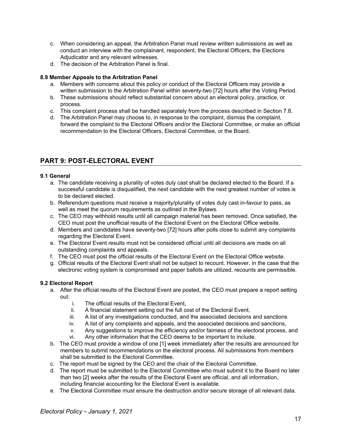- c. When considering an appeal, the Arbitration Panel must review written submissions as well as conduct an interview with the complainant, respondent, the Electoral Officers, the Elections Adjudicator and any relevant witnesses.
- d. The decision of the Arbitration Panel is final.

# <span id="page-17-0"></span>**8.9 Member Appeals to the Arbitration Panel**

- a. Members with concerns about this policy or conduct of the Electoral Officers may provide a written submission to the Arbitration Panel within seventy-two [72] hours after the Voting Period.
- b. These submissions should reflect substantial concern about an electoral policy, practice, or process.
- c. This complaint process shall be handled separately from the process described in Section 7.8.
- d. The Arbitration Panel may choose to, in response to the complaint, dismiss the complaint, forward the complaint to the Electoral Officers and/or the Electoral Committee, or make an official recommendation to the Electoral Officers, Electoral Committee, or the Board.

# <span id="page-17-1"></span>**PART 9: POST-ELECTORAL EVENT**

## <span id="page-17-2"></span>**9.1 General**

- a. The candidate receiving a plurality of votes duly cast shall be declared elected to the Board. If a successful candidate is disqualified, the next candidate with the next greatest number of votes is to be declared elected.
- b. Referendum questions must receive a majority/plurality of votes duly cast in-favour to pass, as well as meet the quorum requirements as outlined in the Bylaws.
- c. The CEO may withhold results until all campaign material has been removed. Once satisfied, the CEO must post the unofficial results of the Electoral Event on the Electoral Office website.
- d. Members and candidates have seventy-two [72] hours after polls close to submit any complaints regarding the Electoral Event.
- e. The Electoral Event results must not be considered official until all decisions are made on all outstanding complaints and appeals.
- f. The CEO must post the official results of the Electoral Event on the Electoral Office website.
- g. Official results of the Electoral Event shall not be subject to recount. However, in the case that the electronic voting system is compromised and paper ballots are utilized, recounts are permissible.

# <span id="page-17-3"></span>**9.2 Electoral Report**

- a. After the official results of the Electoral Event are posted, the CEO must prepare a report setting out:
	- i. The official results of the Electoral Event,
	- ii. A financial statement setting out the full cost of the Electoral Event,
	- iii. A list of any investigations conducted, and the associated decisions and sanctions
	- iv. A list of any complaints and appeals, and the associated decisions and sanctions,
	- v. Any suggestions to improve the efficiency and/or fairness of the electoral process, and
	- vi. Any other information that the CEO deems to be important to include.
- b. The CEO must provide a window of one [1] week immediately after the results are announced for members to submit recommendations on the electoral process. All submissions from members shall be submitted to the Electoral Committee.
- c. The report must be signed by the CEO and the chair of the Electoral Committee.
- d. The report must be submitted to the Electoral Committee who must submit it to the Board no later than two [2] weeks after the results of the Electoral Event are official, and all information, including financial accounting for the Electoral Event is available.
- e. The Electoral Committee must ensure the destruction and/or secure storage of all relevant data.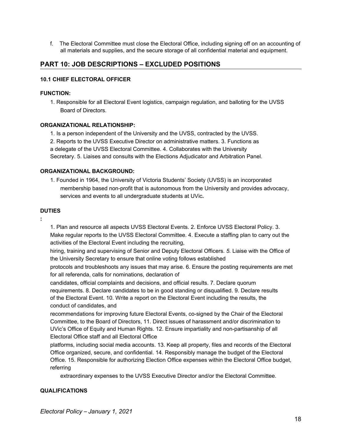f. The Electoral Committee must close the Electoral Office, including signing off on an accounting of all materials and supplies, and the secure storage of all confidential material and equipment.

# **PART 10: JOB DESCRIPTIONS – EXCLUDED POSITIONS**

#### **10.1 CHIEF ELECTORAL OFFICER**

#### **FUNCTION:**

1. Responsible for all Electoral Event logistics, campaign regulation, and balloting for the UVSS Board of Directors.

#### **ORGANIZATIONAL RELATIONSHIP:**

1. Is a person independent of the University and the UVSS, contracted by the UVSS.

2. Reports to the UVSS Executive Director on administrative matters. 3. Functions as a delegate of the UVSS Electoral Committee. 4. Collaborates with the University

Secretary. 5. Liaises and consults with the Elections Adjudicator and Arbitration Panel.

## **ORGANIZATIONAL BACKGROUND:**

1. Founded in 1964, the University of Victoria Students' Society (UVSS) is an incorporated membership based non-profit that is autonomous from the University and provides advocacy, services and events to all undergraduate students at UVic**.**

#### **DUTIES**

**:**

1. Plan and resource all aspects UVSS Electoral Events. 2. Enforce UVSS Electoral Policy. 3. Make regular reports to the UVSS Electoral Committee. 4. Execute a staffing plan to carry out the activities of the Electoral Event including the recruiting,

hiring, training and supervising of Senior and Deputy Electoral Officers. *5.* Liaise with the Office of the University Secretary to ensure that online voting follows established

protocols and troubleshoots any issues that may arise. 6. Ensure the posting requirements are met for all referenda, calls for nominations, declaration of

candidates, official complaints and decisions, and official results. 7. Declare quorum requirements. 8. Declare candidates to be in good standing or disqualified. 9. Declare results of the Electoral Event. 10. Write a report on the Electoral Event including the results, the conduct of candidates, and

recommendations for improving future Electoral Events, co-signed by the Chair of the Electoral Committee, to the Board of Directors, 11. Direct issues of harassment and/or discrimination to UVic's Office of Equity and Human Rights. 12. Ensure impartiality and non-partisanship of all Electoral Office staff and all Electoral Office

platforms, including social media accounts. 13. Keep all property, files and records of the Electoral Office organized, secure, and confidential. 14. Responsibly manage the budget of the Electoral Office. 15. Responsible for authorizing Election Office expenses within the Electoral Office budget, referring

extraordinary expenses to the UVSS Executive Director and/or the Electoral Committee.

## **QUALIFICATIONS**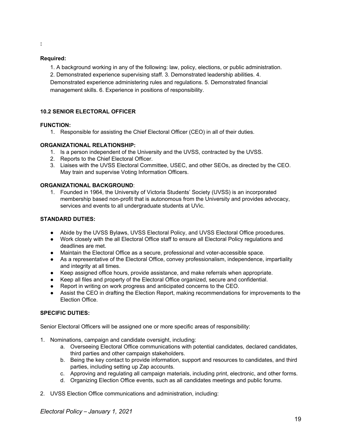#### **:**

#### **Required:**

1. A background working in any of the following: law, policy, elections, or public administration. 2. Demonstrated experience supervising staff. 3. Demonstrated leadership abilities. 4. Demonstrated experience administering rules and regulations. 5. Demonstrated financial management skills. 6. Experience in positions of responsibility.

#### **10.2 SENIOR ELECTORAL OFFICER**

#### **FUNCTION:**

1. Responsible for assisting the Chief Electoral Officer (CEO) in all of their duties.

#### **ORGANIZATIONAL RELATIONSHIP:**

- 1. Is a person independent of the University and the UVSS, contracted by the UVSS.
- 2. Reports to the Chief Electoral Officer.
- 3. Liaises with the UVSS Electoral Committee, USEC, and other SEOs, as directed by the CEO. May train and supervise Voting Information Officers.

#### **ORGANIZATIONAL BACKGROUND**:

1. Founded in 1964, the University of Victoria Students' Society (UVSS) is an incorporated membership based non-profit that is autonomous from the University and provides advocacy, services and events to all undergraduate students at UVic.

#### **STANDARD DUTIES:**

- Abide by the UVSS Bylaws, UVSS Electoral Policy, and UVSS Electoral Office procedures.
- Work closely with the all Electoral Office staff to ensure all Electoral Policy regulations and deadlines are met.
- Maintain the Electoral Office as a secure, professional and voter-accessible space.
- As a representative of the Electoral Office, convey professionalism, independence, impartiality and integrity at all times.
- Keep assigned office hours, provide assistance, and make referrals when appropriate.
- Keep all files and property of the Electoral Office organized, secure and confidential.
- Report in writing on work progress and anticipated concerns to the CEO.
- Assist the CEO in drafting the Election Report, making recommendations for improvements to the Election Office.

#### **SPECIFIC DUTIES:**

Senior Electoral Officers will be assigned one or more specific areas of responsibility:

- 1. Nominations, campaign and candidate oversight, including:
	- a. Overseeing Electoral Office communications with potential candidates, declared candidates, third parties and other campaign stakeholders.
	- b. Being the key contact to provide information, support and resources to candidates, and third parties, including setting up Zap accounts.
	- c. Approving and regulating all campaign materials, including print, electronic, and other forms.
	- d. Organizing Election Office events, such as all candidates meetings and public forums.
- 2. UVSS Election Office communications and administration, including: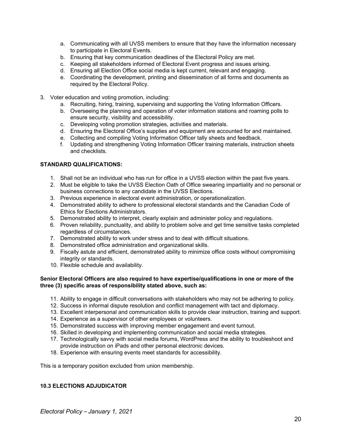- a. Communicating with all UVSS members to ensure that they have the information necessary to participate in Electoral Events.
- b. Ensuring that key communication deadlines of the Electoral Policy are met.
- c. Keeping all stakeholders informed of Electoral Event progress and issues arising.
- d. Ensuring all Election Office social media is kept current, relevant and engaging.
- e. Coordinating the development, printing and dissemination of all forms and documents as required by the Electoral Policy.
- 3. Voter education and voting promotion, including:
	- a. Recruiting, hiring, training, supervising and supporting the Voting Information Officers.
	- b. Overseeing the planning and operation of voter information stations and roaming polls to ensure security, visibility and accessibility.
	- c. Developing voting promotion strategies, activities and materials.
	- d. Ensuring the Electoral Office's supplies and equipment are accounted for and maintained.
	- e. Collecting and compiling Voting Information Officer tally sheets and feedback.
	- f. Updating and strengthening Voting Information Officer training materials, instruction sheets and checklists.

#### **STANDARD QUALIFICATIONS:**

- 1. Shall not be an individual who has run for office in a UVSS election within the past five years.
- 2. Must be eligible to take the UVSS Election Oath of Office swearing impartiality and no personal or business connections to any candidate in the UVSS Elections.
- 3. Previous experience in electoral event administration, or operationalization.
- 4. Demonstrated ability to adhere to professional electoral standards and the Canadian Code of Ethics for Elections Administrators.
- 5. Demonstrated ability to interpret, clearly explain and administer policy and regulations.
- 6. Proven reliability, punctuality, and ability to problem solve and get time sensitive tasks completed regardless of circumstances.
- 7. Demonstrated ability to work under stress and to deal with difficult situations.
- 8. Demonstrated office administration and organizational skills.
- 9. Fiscally astute and efficient, demonstrated ability to minimize office costs without compromising integrity or standards.
- 10. Flexible schedule and availability.

#### **Senior Electoral Officers are also required to have expertise/qualifications in one or more of the three (3) specific areas of responsibility stated above, such as:**

- 11. Ability to engage in difficult conversations with stakeholders who may not be adhering to policy.
- 12. Success in informal dispute resolution and conflict management with tact and diplomacy.
- 13. Excellent interpersonal and communication skills to provide clear instruction, training and support.
- 14. Experience as a supervisor of other employees or volunteers.
- 15. Demonstrated success with improving member engagement and event turnout.
- 16. Skilled in developing and implementing communication and social media strategies.
- 17. Technologically savvy with social media forums, WordPress and the ability to troubleshoot and provide instruction on iPads and other personal electronic devices.
- 18. Experience with ensuring events meet standards for accessibility.

This is a temporary position excluded from union membership.

#### **10.3 ELECTIONS ADJUDICATOR**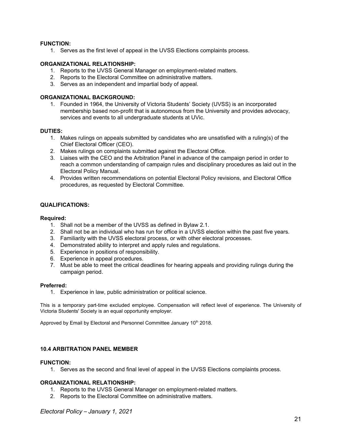#### **FUNCTION:**

1. Serves as the first level of appeal in the UVSS Elections complaints process.

#### **ORGANIZATIONAL RELATIONSHIP:**

- 1. Reports to the UVSS General Manager on employment-related matters.
- 2. Reports to the Electoral Committee on administrative matters.
- 3. Serves as an independent and impartial body of appeal.

#### **ORGANIZATIONAL BACKGROUND:**

1. Founded in 1964, the University of Victoria Students' Society (UVSS) is an incorporated membership based non-profit that is autonomous from the University and provides advocacy, services and events to all undergraduate students at UVic.

#### **DUTIES:**

- 1. Makes rulings on appeals submitted by candidates who are unsatisfied with a ruling(s) of the Chief Electoral Officer (CEO).
- 2. Makes rulings on complaints submitted against the Electoral Office.
- 3. Liaises with the CEO and the Arbitration Panel in advance of the campaign period in order to reach a common understanding of campaign rules and disciplinary procedures as laid out in the Electoral Policy Manual.
- 4. Provides written recommendations on potential Electoral Policy revisions, and Electoral Office procedures, as requested by Electoral Committee.

#### **QUALIFICATIONS:**

#### **Required:**

- 1. Shall not be a member of the UVSS as defined in Bylaw 2.1.
- 2. Shall not be an individual who has run for office in a UVSS election within the past five years.
- 3. Familiarity with the UVSS electoral process, or with other electoral processes.
- 4. Demonstrated ability to interpret and apply rules and regulations.
- 5. Experience in positions of responsibility.
- 6. Experience in appeal procedures.
- 7. Must be able to meet the critical deadlines for hearing appeals and providing rulings during the campaign period.

#### **Preferred:**

1. Experience in law, public administration or political science.

This is a temporary part-time excluded employee. Compensation will reflect level of experience. The University of Victoria Students' Society is an equal opportunity employer.

Approved by Email by Electoral and Personnel Committee January 10<sup>th</sup> 2018.

#### **10.4 ARBITRATION PANEL MEMBER**

#### **FUNCTION:**

1. Serves as the second and final level of appeal in the UVSS Elections complaints process.

#### **ORGANIZATIONAL RELATIONSHIP:**

- 1. Reports to the UVSS General Manager on employment-related matters.
- 2. Reports to the Electoral Committee on administrative matters.